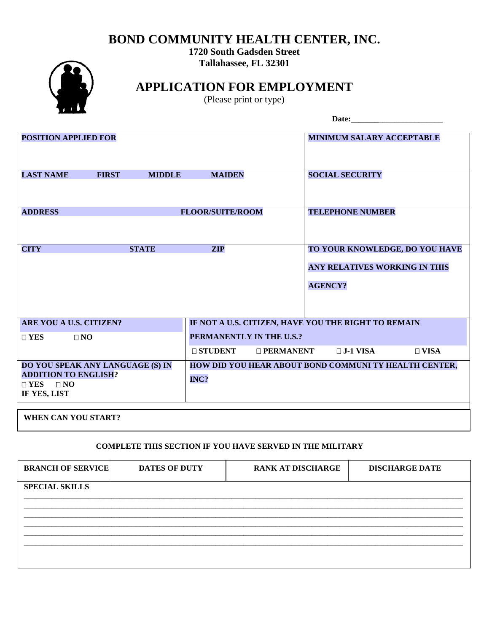## **BOND COMMUNITY HEALTH CENTER, INC.**

**1720 South Gadsden Street Tallahassee, FL <sup>32301</sup>**



**APPLICATION FOR EMPLOYMENT**

(Please print or type)

|                                                                                                         |               |                                                                                 |                  | Date:                                                 |                                |
|---------------------------------------------------------------------------------------------------------|---------------|---------------------------------------------------------------------------------|------------------|-------------------------------------------------------|--------------------------------|
| <b>POSITION APPLIED FOR</b>                                                                             |               |                                                                                 |                  | <b>MINIMUM SALARY ACCEPTABLE</b>                      |                                |
| <b>LAST NAME</b><br><b>FIRST</b>                                                                        | <b>MIDDLE</b> | <b>MAIDEN</b>                                                                   |                  | <b>SOCIAL SECURITY</b>                                |                                |
| <b>ADDRESS</b>                                                                                          |               | <b>FLOOR/SUITE/ROOM</b>                                                         |                  | <b>TELEPHONE NUMBER</b>                               |                                |
| <b>CITY</b>                                                                                             | <b>STATE</b>  | <b>ZIP</b>                                                                      |                  | ANY RELATIVES WORKING IN THIS<br><b>AGENCY?</b>       | TO YOUR KNOWLEDGE, DO YOU HAVE |
| ARE YOU A U.S. CITIZEN?<br>$\Box$ YES<br>$\Box$ NO                                                      |               | IF NOT A U.S. CITIZEN, HAVE YOU THE RIGHT TO REMAIN<br>PERMANENTLY IN THE U.S.? |                  |                                                       |                                |
|                                                                                                         |               | <b>O STUDENT</b>                                                                | $\Box$ PERMANENT | $\Box$ J-1 VISA                                       | $\Box$ VISA                    |
| DO YOU SPEAK ANY LANGUAGE (S) IN<br><b>ADDITION TO ENGLISH?</b><br>$\Box$ YES $\Box$ NO<br>IF YES, LIST |               | INC?                                                                            |                  | HOW DID YOU HEAR ABOUT BOND COMMUNI TY HEALTH CENTER, |                                |
| <b>WHEN CAN YOU START?</b>                                                                              |               |                                                                                 |                  |                                                       |                                |

## **COMPLETE THIS SECTION IF YOU HAVE SERVED IN THE MILITARY**

| <b>BRANCH OF SERVICE</b> | <b>DATES OF DUTY</b> | <b>RANK AT DISCHARGE</b> | <b>DISCHARGE DATE</b> |
|--------------------------|----------------------|--------------------------|-----------------------|
| <b>SPECIAL SKILLS</b>    |                      |                          |                       |
|                          |                      |                          |                       |
|                          |                      |                          |                       |
|                          |                      |                          |                       |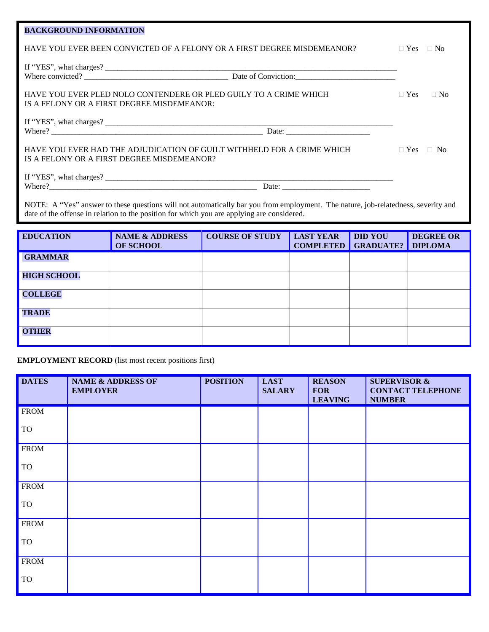| <b>BACKGROUND INFORMATION</b>                                                                                                                                                                                                   |                         |  |  |  |
|---------------------------------------------------------------------------------------------------------------------------------------------------------------------------------------------------------------------------------|-------------------------|--|--|--|
| HAVE YOU EVER BEEN CONVICTED OF A FELONY OR A FIRST DEGREE MISDEMEANOR?                                                                                                                                                         | $\Box$ Yes<br>$\Box$ No |  |  |  |
|                                                                                                                                                                                                                                 |                         |  |  |  |
| HAVE YOU EVER PLED NOLO CONTENDERE OR PLED GUILY TO A CRIME WHICH<br>IS A FELONY OR A FIRST DEGREE MISDEMEANOR:                                                                                                                 | $\Box$ Yes<br>$\Box$ No |  |  |  |
|                                                                                                                                                                                                                                 |                         |  |  |  |
| HAVE YOU EVER HAD THE ADJUDICATION OF GUILT WITHHELD FOR A CRIME WHICH<br>IS A FELONY OR A FIRST DEGREE MISDEMEANOR?                                                                                                            | $\Box$ Yes<br>$\Box$ No |  |  |  |
|                                                                                                                                                                                                                                 |                         |  |  |  |
|                                                                                                                                                                                                                                 |                         |  |  |  |
| NOTE: A "Yes" answer to these questions will not automatically bar you from employment. The nature, job-relatedness, severity and<br>date of the offense in relation to the position for which you are applying are considered. |                         |  |  |  |
|                                                                                                                                                                                                                                 |                         |  |  |  |

| <b>EDUCATION</b>   | <b>NAME &amp; ADDRESS</b><br><b>OF SCHOOL</b> | <b>COURSE OF STUDY</b> | <b>LAST YEAR</b><br><b>COMPLETED</b> | <b>DID YOU</b><br><b>GRADUATE?</b> | <b>DEGREE OR</b><br><b>DIPLOMA</b> |
|--------------------|-----------------------------------------------|------------------------|--------------------------------------|------------------------------------|------------------------------------|
| <b>GRAMMAR</b>     |                                               |                        |                                      |                                    |                                    |
| <b>HIGH SCHOOL</b> |                                               |                        |                                      |                                    |                                    |
| <b>COLLEGE</b>     |                                               |                        |                                      |                                    |                                    |
| <b>TRADE</b>       |                                               |                        |                                      |                                    |                                    |
| <b>OTHER</b>       |                                               |                        |                                      |                                    |                                    |

**EMPLOYMENT RECORD** (list most recent positions first)

| <b>DATES</b> | <b>NAME &amp; ADDRESS OF</b><br><b>EMPLOYER</b> | <b>POSITION</b> | <b>LAST</b><br><b>SALARY</b> | <b>REASON</b><br><b>FOR</b><br><b>LEAVING</b> | <b>SUPERVISOR &amp;</b><br><b>CONTACT TELEPHONE</b><br><b>NUMBER</b> |
|--------------|-------------------------------------------------|-----------------|------------------------------|-----------------------------------------------|----------------------------------------------------------------------|
| <b>FROM</b>  |                                                 |                 |                              |                                               |                                                                      |
| <b>TO</b>    |                                                 |                 |                              |                                               |                                                                      |
| <b>FROM</b>  |                                                 |                 |                              |                                               |                                                                      |
| TO           |                                                 |                 |                              |                                               |                                                                      |
| <b>FROM</b>  |                                                 |                 |                              |                                               |                                                                      |
| TO           |                                                 |                 |                              |                                               |                                                                      |
| <b>FROM</b>  |                                                 |                 |                              |                                               |                                                                      |
| <b>TO</b>    |                                                 |                 |                              |                                               |                                                                      |
| <b>FROM</b>  |                                                 |                 |                              |                                               |                                                                      |
| <b>TO</b>    |                                                 |                 |                              |                                               |                                                                      |